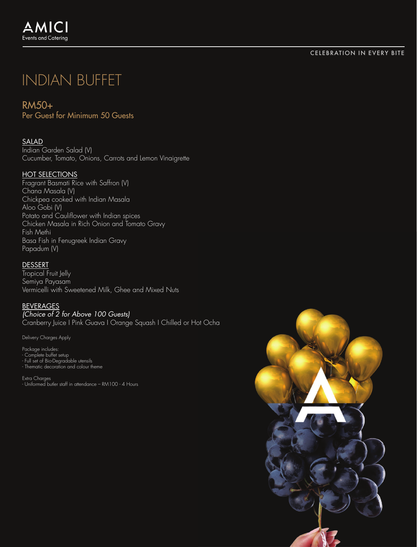#### CELEBRATION IN EVERY BITE

# INDIAN BUFFET

## RM50+

Per Guest for Minimum 50 Guests

## SALAD

Indian Garden Salad (V) Cucumber, Tomato, Onions, Carrots and Lemon Vinaigrette

## HOT SELECTIONS

Fragrant Basmati Rice with Saffron (V) Chana Masala (V) Chickpea cooked with Indian Masala Aloo Gobi (V) Potato and Cauliflower with Indian spices Chicken Masala in Rich Onion and Tomato Gravy Fish Methi Basa Fish in Fenugreek Indian Gravy Papadum (V)

#### DESSERT

Tropical Fruit Jelly Semiya Payasam Vermicelli with Sweetened Milk, Ghee and Mixed Nuts

### BEVERAGES

*(Choice of 2 for Above 100 Guests)*

Cranberry Juice I Pink Guava I Orange Squash I Chilled or Hot Ocha

Delivery Charges Apply

Package includes:

- Complete buffet setup - Full set of Bio-Degradable utensils - Thematic decoration and colour theme

Extra Charges - Uniformed butler staff in attendance – RM100 - 4 Hours